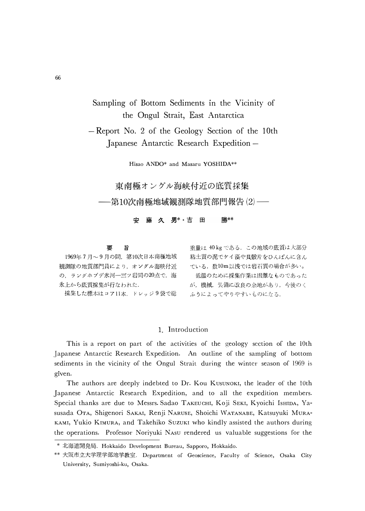# Sampling of Bottom Sediments in the Vicinity of the Ongul Strait, East Antarctica

- Report No. 2 of the Geology Section of the 10th Japanese Antarctic Research Expedition -

Hisao ANDO\* and Masaru YOSHIDA\*\*

東南極オングル海峡付近の底質採集 -第10次南極地域観測隊地質部門報告 ⑵ —–

> 安藤久男\*\*吉田 勝\*\*

#### 要 旨

1969年7月~9月の間、第10次日本南極地域 観測隊の地質部門員により、オングル海峡付近 の、ラングホブデ氷河一三ッ岩間の20点で、海 氷上から底質採集が行なわれた. 採集した標本はコア11本、ドレッジ9袋で総

重量は 40 kg である. この地域の底質は大部分 粘土質の泥でケイ藻や貝殻片をひんぱんに含ん ている. 数10m以浅では岩石質の場合が多い。 低温のために採集作業は困難なものであった が、機械、装備に改良の余地があり、今後のく ふうによってやりやすいものになる.

### 1 Introduction

This is a report on part of the activities of the geology section of the 10th Japanese Antarctic Research Expedition. An outline of the sampling of bottom sediments in the vicinity of the Ongul Strait during the winter season of 1969 is given.

The authors are deeply indebted to Dr. Kou KUSUNOKI, the leader of the 10th Japanese Antarctic Research Expedition, and to all the expedition members. Special thanks are due to Messrs. Sadao TAKEUCHI, Koji SEKI, Kyoichi IsHIDA, Yasusada OTA, Shigenori SAKAI, Renji NARUSE, Shoichi WATANABE, Katsuyuki MURA-KAMI, Yukio KIMURA, and Takehiko SUZUKI who kindly assisted the authors during the operations. Professor Noriyuki NASU rendered us valuable suggestions for the

<sup>\*</sup> 北海道開発局. Hokkaido Development Bureau, Sapporo, Hokkaido.

<sup>\*\*</sup> 大阪市立大学理学部地学教室. Department of Geoscience, Faculty of Science, Osaka City University, Sumiyoshi-ku, Osaka.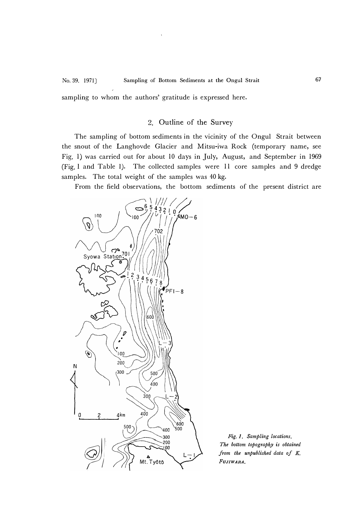**No. 39. 1971]** Sampling of Bottom Sediments at the Ongul Strait 67 sampling to whom the authors' gratitude is expressed here.

## 2. Outline of the Survey

The sampling of bottom sediments in the vicinity of the Ongul Strait between the snout of the Langhovde Glacier and Mitsu-iwa Rock (temporary name, see Fig. 1) was carried out for about 10 days in July, August, and September in 1969 (Fig. I and Table 1). The collected samples were 11 core samples and 9 dredge samples. The total weight of the samples was 40 kg.

From the field observations, the bottom sediments of the present district are



*The bottom topography is obtained from the unpublished data of K. FUJIWARA.*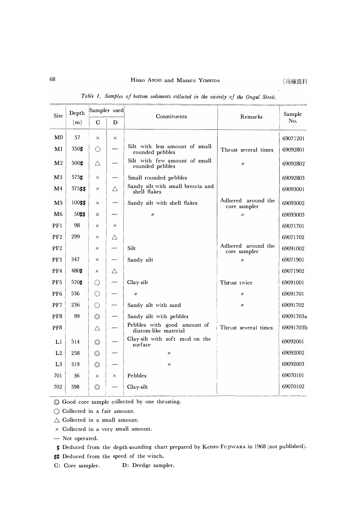$\overline{\phantom{a}}$ 

| Site            | Depth | Sampler used   |          | Constituents                                        | Remarks                            | Sample    |
|-----------------|-------|----------------|----------|-----------------------------------------------------|------------------------------------|-----------|
| C<br>(m)<br>D   |       |                |          |                                                     | No.                                |           |
| $\mathbf{M}0$   | 57    | $\times$       | $\times$ |                                                     |                                    | 69071201  |
| Ml              | 350#  | ( )            |          | Silt with less amount of small<br>rounded pebbles   | Thrust several times               | 69092801  |
| M <sub>2</sub>  | 500#  | Δ              |          | Silt with few amount of small<br>rounded pebbles    | $^{\prime\prime}$                  | 69092802  |
| $\mathbf{M}3$   | 575#  | $\times$       |          | Small rounded pebbles                               |                                    | 69092803  |
| M <sub>4</sub>  | 375## | X              | Δ        | Sandy silt with small breccia and<br>shell flakes   |                                    | 69093001  |
| M <sub>5</sub>  | 100## | $\times$       |          | Sandy silt with shell flakes                        | Adhered around the<br>core sampler | 69093002  |
| M6              | 50##  | $\times$       |          | $^{\prime\prime}$                                   | $^{\prime\prime}$                  | 69093003  |
| PFI             | 98    | $\times$       | $\times$ |                                                     |                                    | 69071701  |
| PF2             | 299   | $\times$       | Δ        |                                                     |                                    | 69071702  |
| PF <sub>2</sub> |       | $\times$       |          | Silt                                                | Adhered around the<br>core sampler | 69091002  |
| PF3             | 347   | $\times$       |          | Sandy silt                                          | $^{\prime\prime}$                  | 69071901  |
| PF4             | 480#  | $\times$       | Δ        |                                                     |                                    | 69071902  |
| PF <sub>5</sub> | 570#  | ( )            |          | Clay-silt                                           | Thrust twice                       | 69091001  |
| PF <sub>6</sub> | 536   | $\bigcirc$     |          | $^{\prime\prime}$                                   | $^{\prime\prime}$                  | 69091701  |
| PF7             | 236   | ◯              |          | Sandy silt with sand                                | $^{\prime\prime}$                  | 69091702  |
| PF8             | 99    | $\circledcirc$ |          | Sandy silt with pebbles                             |                                    | 69091703a |
| PF <sub>8</sub> |       | Δ              |          | Pebbles with good amount of<br>diatom-like material | Thrust several times               | 69091703b |
| LI              | 514   | ⊚              |          | Clay-silt with soft mud on the<br>surface           |                                    | 69092001  |
| L2              | 258   | $\circledcirc$ |          | $^{\prime\prime}$                                   |                                    | 69092002  |
| L <sub>3</sub>  | 319   | $\circledcirc$ |          | $^{\prime\prime}$                                   |                                    | 69092003  |
| 701             | 36    | $\times$       | X        | Pebbles                                             |                                    | 69070101  |
| 702             | 598   | $\circledcirc$ |          | Clay-silt                                           |                                    | 69070102  |
|                 |       |                |          |                                                     |                                    |           |

|  |  |  |  |  | Table 1. Samples of bottom sediments collected in the vicinity of the Ongul Strait. |  |  |  |  |  |  |  |  |
|--|--|--|--|--|-------------------------------------------------------------------------------------|--|--|--|--|--|--|--|--|
|--|--|--|--|--|-------------------------------------------------------------------------------------|--|--|--|--|--|--|--|--|

© Good core sample collected by one thrusting.

- O Collected in a fair amount.
- $\triangle$  Collected in a small amount.
- x Collected in a very small amount.
- Not operated.
- # Deduced from the depth-sounding chart prepared by Kenzo FUJIWARA in 1968 (not published).
- ## Deduced from the speed of the winch.
- C: Core sampler. D: Dredge sampler.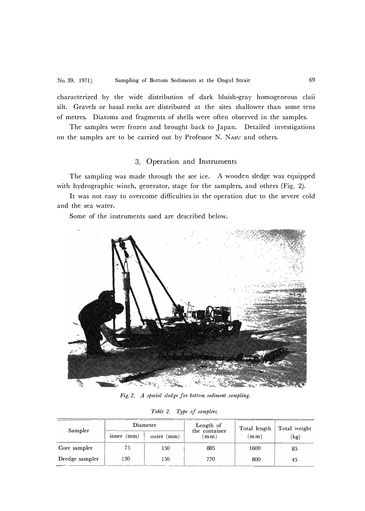characterized by the wide distribution of dark bluish-gray homogeneous claii silt. Gravels or basal rocks are distributed at the sites shallower than some tens of metres. Diatoms and fragments of shells were often observed in the samples.

The samples were frozen and brought back to Japan. Detailed investigations on the samples are to be carried out by Professor N. NAsu and others.

# 3. Operation and Instruments

The sampling was made through the see ice. A wooden sledge was equipped with hydrographic winch, generator, stage for the samplers, and others (Fig. 2).

It was not easy to overcome difficulties in the operation due to the severe cold and the sea water.

Some of the instruments used are described below.



*Fig. 2. A special sledge for bottom sediment sampling.* 

| Table 2. |  |  |  | Type of samplers. |
|----------|--|--|--|-------------------|
|----------|--|--|--|-------------------|

| Sampler        |              | Diameter      | Length of<br>the container | Total length | Total weight |  |
|----------------|--------------|---------------|----------------------------|--------------|--------------|--|
|                | mm)<br>inner | (mm)<br>outer | mm                         | m m)         | 'kg)         |  |
| Core sampler   | 75           | 150           | 885                        | 1600         | 85           |  |
| Dredge sampler | 130          | l 50          | 770                        | 800          | 45           |  |